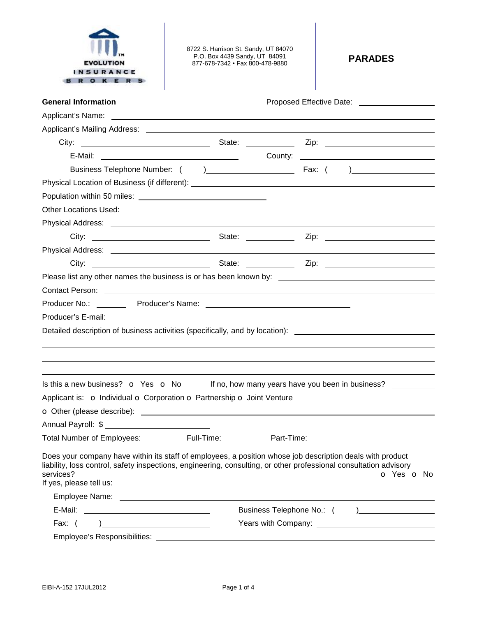

8722 S. Harrison St. Sandy, UT 84070 P.O. Box 4439 Sandy, UT 84091 877-678-7342 • Fax 800-478-9880 **PARADES** 

| <b>General Information</b>                                                                                                                                                                                                                  | Proposed Effective Date: ____________________    |
|---------------------------------------------------------------------------------------------------------------------------------------------------------------------------------------------------------------------------------------------|--------------------------------------------------|
|                                                                                                                                                                                                                                             |                                                  |
|                                                                                                                                                                                                                                             |                                                  |
|                                                                                                                                                                                                                                             |                                                  |
|                                                                                                                                                                                                                                             |                                                  |
|                                                                                                                                                                                                                                             |                                                  |
| Physical Location of Business (if different): ___________________________________                                                                                                                                                           |                                                  |
|                                                                                                                                                                                                                                             |                                                  |
| <b>Other Locations Used:</b>                                                                                                                                                                                                                |                                                  |
|                                                                                                                                                                                                                                             |                                                  |
|                                                                                                                                                                                                                                             |                                                  |
|                                                                                                                                                                                                                                             |                                                  |
|                                                                                                                                                                                                                                             |                                                  |
|                                                                                                                                                                                                                                             |                                                  |
| Contact Person: New York Structure and Structure and Structure and Structure and Structure and Structure and S                                                                                                                              |                                                  |
|                                                                                                                                                                                                                                             |                                                  |
|                                                                                                                                                                                                                                             |                                                  |
| Detailed description of business activities (specifically, and by location): <u>[16]</u> Detailed description of business                                                                                                                   |                                                  |
|                                                                                                                                                                                                                                             |                                                  |
|                                                                                                                                                                                                                                             |                                                  |
|                                                                                                                                                                                                                                             |                                                  |
| Is this a new business? o Yes o No                                                                                                                                                                                                          | If no, how many years have you been in business? |
| Applicant is: o Individual o Corporation o Partnership o Joint Venture                                                                                                                                                                      |                                                  |
|                                                                                                                                                                                                                                             |                                                  |
|                                                                                                                                                                                                                                             |                                                  |
| Total Number of Employees: ____________ Full-Time: ____________ Part-Time:                                                                                                                                                                  |                                                  |
|                                                                                                                                                                                                                                             |                                                  |
| Does your company have within its staff of employees, a position whose job description deals with product<br>liability, loss control, safety inspections, engineering, consulting, or other professional consultation advisory<br>services? | o Yes o No                                       |
| If yes, please tell us:                                                                                                                                                                                                                     |                                                  |
|                                                                                                                                                                                                                                             |                                                  |
|                                                                                                                                                                                                                                             |                                                  |
|                                                                                                                                                                                                                                             |                                                  |
| Employee's Responsibilities: _____________                                                                                                                                                                                                  |                                                  |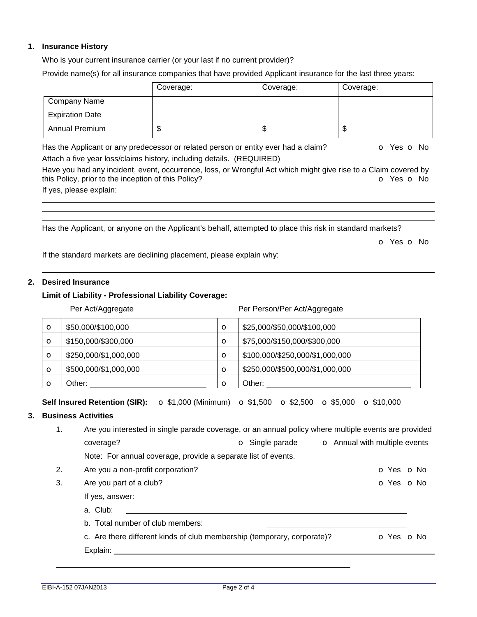## **1. Insurance History**

Who is your current insurance carrier (or your last if no current provider)?

Provide name(s) for all insurance companies that have provided Applicant insurance for the last three years:

|                        | Coverage: | Coverage: | Coverage: |
|------------------------|-----------|-----------|-----------|
| Company Name           |           |           |           |
| <b>Expiration Date</b> |           |           |           |
| <b>Annual Premium</b>  | ιIJ       | ۰D        | ѡ         |

Has the Applicant or any predecessor or related person or entity ever had a claim?  $\bullet$  Yes  $\bullet$  No Attach a five year loss/claims history, including details. (REQUIRED)

Have you had any incident, event, occurrence, loss, or Wrongful Act which might give rise to a Claim covered by this Policy, prior to the inception of this Policy? **o Yes o No** 

If yes, please explain:

Has the Applicant, or anyone on the Applicant's behalf, attempted to place this risk in standard markets?

o Yes o No

If the standard markets are declining placement, please explain why:

## **2. Desired Insurance**

## **Limit of Liability - Professional Liability Coverage:**

#### Per Act/Aggregate **Per Person/Per Act/Aggregate**

| $\circ$ | \$50,000/\$100,000    | $\circ$ | \$25,000/\$50,000/\$100,000     |
|---------|-----------------------|---------|---------------------------------|
| $\circ$ | \$150,000/\$300,000   | $\circ$ | \$75,000/\$150,000/\$300,000    |
| $\circ$ | \$250,000/\$1,000,000 | $\circ$ | \$100,000/\$250,000/\$1,000,000 |
| $\circ$ | \$500,000/\$1,000,000 | $\circ$ | \$250,000/\$500,000/\$1,000,000 |
|         | Other:                | $\circ$ | Other:                          |

**Self Insured Retention (SIR):** o \$1,000 (Minimum) o \$1,500 o \$2,500 o \$5,000 o \$10,000

# **3. Business Activities**

| 1 <sub>1</sub> | Are you interested in single parade coverage, or an annual policy where multiple events are provided |                        |                                      |  |
|----------------|------------------------------------------------------------------------------------------------------|------------------------|--------------------------------------|--|
|                | coverage?                                                                                            | <b>o</b> Single parade | <b>O</b> Annual with multiple events |  |
|                | Note: For annual coverage, provide a separate list of events.                                        |                        |                                      |  |
| 2.             | Are you a non-profit corporation?                                                                    |                        | O Yes O No                           |  |
| 3.             | Are you part of a club?                                                                              |                        | $O Yes$ $O No$                       |  |
|                | If yes, answer:                                                                                      |                        |                                      |  |
|                | a. Club:                                                                                             |                        |                                      |  |
|                | b. Total number of club members:                                                                     |                        |                                      |  |
|                | c. Are there different kinds of club membership (temporary, corporate)?                              |                        | <b>O</b> Yes <b>O</b> No             |  |
|                | Explain:                                                                                             |                        |                                      |  |
|                |                                                                                                      |                        |                                      |  |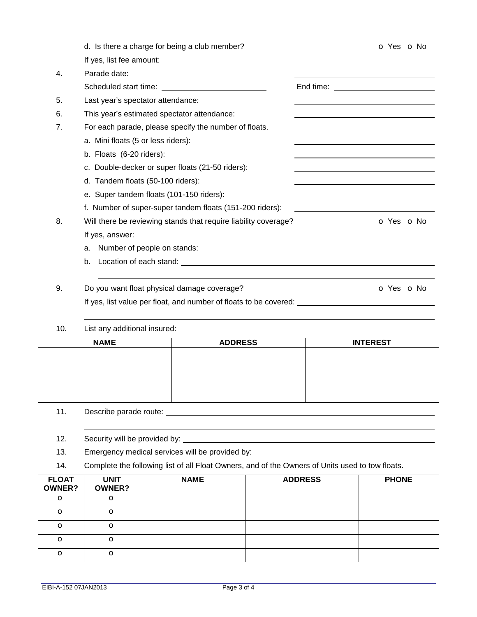| d. Is there a charge for being a club member?            | O Yes O No                                                                                                                                                              |
|----------------------------------------------------------|-------------------------------------------------------------------------------------------------------------------------------------------------------------------------|
| If yes, list fee amount:                                 |                                                                                                                                                                         |
| Parade date:                                             |                                                                                                                                                                         |
|                                                          |                                                                                                                                                                         |
| Last year's spectator attendance:                        |                                                                                                                                                                         |
| This year's estimated spectator attendance:              |                                                                                                                                                                         |
| For each parade, please specify the number of floats.    |                                                                                                                                                                         |
| a. Mini floats (5 or less riders):                       |                                                                                                                                                                         |
| b. Floats (6-20 riders):                                 |                                                                                                                                                                         |
| c. Double-decker or super floats (21-50 riders):         |                                                                                                                                                                         |
| d. Tandem floats (50-100 riders):                        |                                                                                                                                                                         |
| e. Super tandem floats (101-150 riders):                 |                                                                                                                                                                         |
| f. Number of super-super tandem floats (151-200 riders): |                                                                                                                                                                         |
|                                                          | O Yes O No                                                                                                                                                              |
| If yes, answer:                                          |                                                                                                                                                                         |
| a.                                                       |                                                                                                                                                                         |
| b.                                                       |                                                                                                                                                                         |
|                                                          |                                                                                                                                                                         |
| Do you want float physical damage coverage?              | O Yes O No                                                                                                                                                              |
|                                                          |                                                                                                                                                                         |
|                                                          | Will there be reviewing stands that require liability coverage?<br>If yes, list value per float, and number of floats to be covered: __________________________________ |

# 10. List any additional insured:

| <b>NAME</b> | <b>ADDRESS</b> | <b>INTEREST</b> |
|-------------|----------------|-----------------|
|             |                |                 |
|             |                |                 |
|             |                |                 |
|             |                |                 |

# 11. Describe parade route: <u>contract and the contract of the contract of the contract of the contract of the contract of the contract of the contract of the contract of the contract of the contract of the contract of the c</u>

12. Security will be provided by: \_\_\_\_\_\_\_\_\_\_\_

- 13. Emergency medical services will be provided by:
- 14. Complete the following list of all Float Owners, and of the Owners of Units used to tow floats.

| <b>FLOAT</b><br><b>OWNER?</b> | <b>UNIT</b><br><b>OWNER?</b> | <b>NAME</b> | <b>ADDRESS</b> | <b>PHONE</b> |
|-------------------------------|------------------------------|-------------|----------------|--------------|
| $\circ$                       | $\circ$                      |             |                |              |
| $\circ$                       | $\circ$                      |             |                |              |
| $\circ$                       | $\circ$                      |             |                |              |
| $\circ$                       | $\circ$                      |             |                |              |
| $\circ$                       | $\circ$                      |             |                |              |